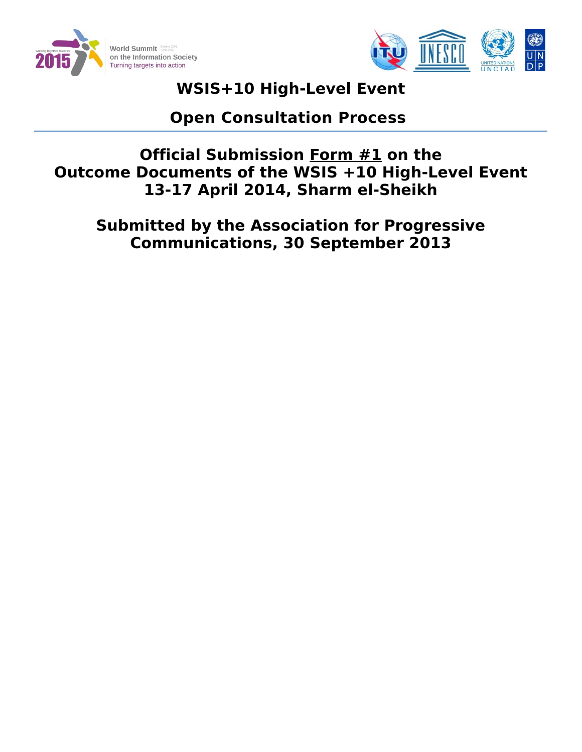



# **WSIS+10 High-Level Event**

# **Open Consultation Process**

**Official Submission Form #1 on the Outcome Documents of the WSIS +10 High-Level Event 13-17 April 2014, Sharm el-Sheikh**

**Submitted by the Association for Progressive Communications, 30 September 2013**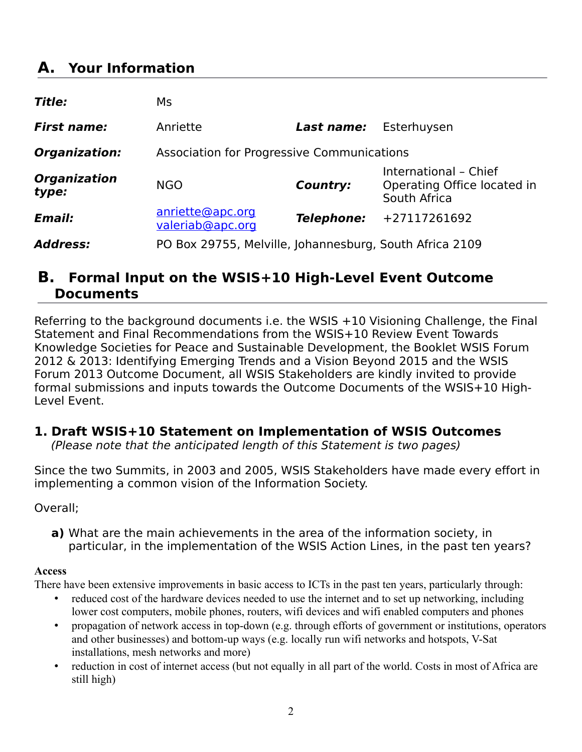# **A. Your Information**

| Title:                       | Ms                                                      |                   |                                                                      |
|------------------------------|---------------------------------------------------------|-------------------|----------------------------------------------------------------------|
| <b>First name:</b>           | Anriette                                                | Last name:        | Esterhuysen                                                          |
| Organization:                | Association for Progressive Communications              |                   |                                                                      |
| <b>Organization</b><br>type: | <b>NGO</b>                                              | Country:          | International - Chief<br>Operating Office located in<br>South Africa |
| Email:                       | anriette@apc.org<br>valeriab@apc.org                    | <b>Telephone:</b> | +27117261692                                                         |
| <b>Address:</b>              | PO Box 29755, Melville, Johannesburg, South Africa 2109 |                   |                                                                      |

## **B. Formal Input on the WSIS+10 High-Level Event Outcome Documents**

Referring to the background documents i.e. the WSIS +10 Visioning Challenge, the Final Statement and Final Recommendations from the WSIS+10 Review Event Towards Knowledge Societies for Peace and Sustainable Development, the Booklet WSIS Forum 2012 & 2013: Identifying Emerging Trends and a Vision Beyond 2015 and the WSIS Forum 2013 Outcome Document, all WSIS Stakeholders are kindly invited to provide formal submissions and inputs towards the Outcome Documents of the WSIS+10 High-Level Event.

## **1. Draft WSIS+10 Statement on Implementation of WSIS Outcomes**

(Please note that the anticipated length of this Statement is two pages)

Since the two Summits, in 2003 and 2005, WSIS Stakeholders have made every effort in implementing a common vision of the Information Society.

Overall;

**a)** What are the main achievements in the area of the information society, in particular, in the implementation of the WSIS Action Lines, in the past ten years?

## **Access**

There have been extensive improvements in basic access to ICTs in the past ten years, particularly through:

- reduced cost of the hardware devices needed to use the internet and to set up networking, including lower cost computers, mobile phones, routers, wifi devices and wifi enabled computers and phones
- propagation of network access in top-down (e.g. through efforts of government or institutions, operators and other businesses) and bottom-up ways (e.g. locally run wifi networks and hotspots, V-Sat installations, mesh networks and more)
- reduction in cost of internet access (but not equally in all part of the world. Costs in most of Africa are still high)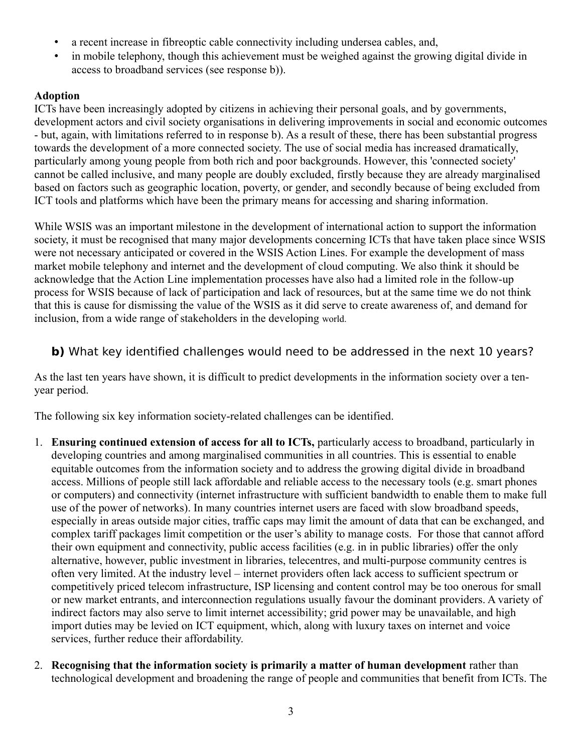- a recent increase in fibreoptic cable connectivity including undersea cables, and,
- in mobile telephony, though this achievement must be weighed against the growing digital divide in access to broadband services (see response b)).

#### **Adoption**

ICTs have been increasingly adopted by citizens in achieving their personal goals, and by governments, development actors and civil society organisations in delivering improvements in social and economic outcomes - but, again, with limitations referred to in response b). As a result of these, there has been substantial progress towards the development of a more connected society. The use of social media has increased dramatically, particularly among young people from both rich and poor backgrounds. However, this 'connected society' cannot be called inclusive, and many people are doubly excluded, firstly because they are already marginalised based on factors such as geographic location, poverty, or gender, and secondly because of being excluded from ICT tools and platforms which have been the primary means for accessing and sharing information.

While WSIS was an important milestone in the development of international action to support the information society, it must be recognised that many major developments concerning ICTs that have taken place since WSIS were not necessary anticipated or covered in the WSIS Action Lines. For example the development of mass market mobile telephony and internet and the development of cloud computing. We also think it should be acknowledge that the Action Line implementation processes have also had a limited role in the follow-up process for WSIS because of lack of participation and lack of resources, but at the same time we do not think that this is cause for dismissing the value of the WSIS as it did serve to create awareness of, and demand for inclusion, from a wide range of stakeholders in the developing world.

## **b)** What key identified challenges would need to be addressed in the next 10 years?

As the last ten years have shown, it is difficult to predict developments in the information society over a tenyear period.

The following six key information society-related challenges can be identified.

- 1. **Ensuring continued extension of access for all to ICTs,** particularly access to broadband, particularly in developing countries and among marginalised communities in all countries. This is essential to enable equitable outcomes from the information society and to address the growing digital divide in broadband access. Millions of people still lack affordable and reliable access to the necessary tools (e.g. smart phones or computers) and connectivity (internet infrastructure with sufficient bandwidth to enable them to make full use of the power of networks). In many countries internet users are faced with slow broadband speeds, especially in areas outside major cities, traffic caps may limit the amount of data that can be exchanged, and complex tariff packages limit competition or the user's ability to manage costs. For those that cannot afford their own equipment and connectivity, public access facilities (e.g. in in public libraries) offer the only alternative, however, public investment in libraries, telecentres, and multi-purpose community centres is often very limited. At the industry level – internet providers often lack access to sufficient spectrum or competitively priced telecom infrastructure, ISP licensing and content control may be too onerous for small or new market entrants, and interconnection regulations usually favour the dominant providers. A variety of indirect factors may also serve to limit internet accessibility; grid power may be unavailable, and high import duties may be levied on ICT equipment, which, along with luxury taxes on internet and voice services, further reduce their affordability.
- 2. **Recognising that the information society is primarily a matter of human development** rather than technological development and broadening the range of people and communities that benefit from ICTs. The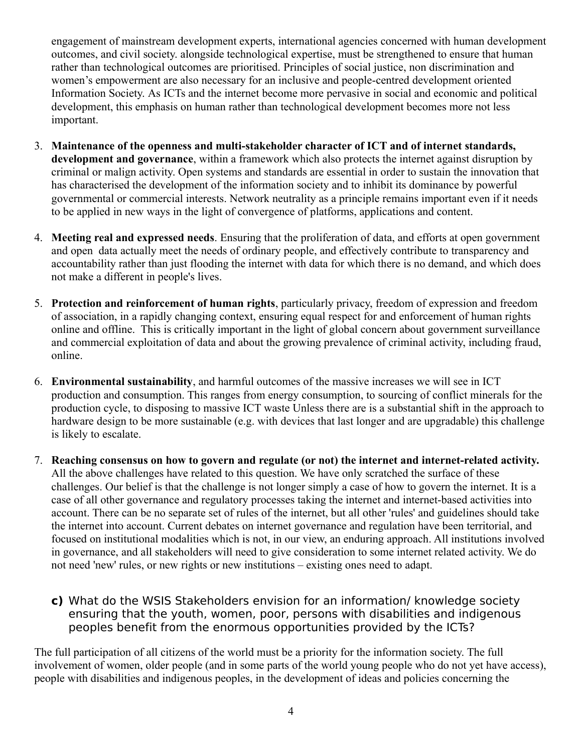engagement of mainstream development experts, international agencies concerned with human development outcomes, and civil society. alongside technological expertise, must be strengthened to ensure that human rather than technological outcomes are prioritised. Principles of social justice, non discrimination and women's empowerment are also necessary for an inclusive and people-centred development oriented Information Society. As ICTs and the internet become more pervasive in social and economic and political development, this emphasis on human rather than technological development becomes more not less important.

- 3. **Maintenance of the openness and multi-stakeholder character of ICT and of internet standards, development and governance**, within a framework which also protects the internet against disruption by criminal or malign activity. Open systems and standards are essential in order to sustain the innovation that has characterised the development of the information society and to inhibit its dominance by powerful governmental or commercial interests. Network neutrality as a principle remains important even if it needs to be applied in new ways in the light of convergence of platforms, applications and content.
- 4. **Meeting real and expressed needs**. Ensuring that the proliferation of data, and efforts at open government and open data actually meet the needs of ordinary people, and effectively contribute to transparency and accountability rather than just flooding the internet with data for which there is no demand, and which does not make a different in people's lives.
- 5. **Protection and reinforcement of human rights**, particularly privacy, freedom of expression and freedom of association, in a rapidly changing context, ensuring equal respect for and enforcement of human rights online and offline. This is critically important in the light of global concern about government surveillance and commercial exploitation of data and about the growing prevalence of criminal activity, including fraud, online.
- 6. **Environmental sustainability**, and harmful outcomes of the massive increases we will see in ICT production and consumption. This ranges from energy consumption, to sourcing of conflict minerals for the production cycle, to disposing to massive ICT waste Unless there are is a substantial shift in the approach to hardware design to be more sustainable (e.g. with devices that last longer and are upgradable) this challenge is likely to escalate.
- 7. **Reaching consensus on how to govern and regulate (or not) the internet and internet-related activity.** All the above challenges have related to this question. We have only scratched the surface of these challenges. Our belief is that the challenge is not longer simply a case of how to govern the internet. It is a case of all other governance and regulatory processes taking the internet and internet-based activities into account. There can be no separate set of rules of the internet, but all other 'rules' and guidelines should take the internet into account. Current debates on internet governance and regulation have been territorial, and focused on institutional modalities which is not, in our view, an enduring approach. All institutions involved in governance, and all stakeholders will need to give consideration to some internet related activity. We do not need 'new' rules, or new rights or new institutions – existing ones need to adapt.
	- **c)** What do the WSIS Stakeholders envision for an information/ knowledge society ensuring that the youth, women, poor, persons with disabilities and indigenous peoples benefit from the enormous opportunities provided by the ICTs?

The full participation of all citizens of the world must be a priority for the information society. The full involvement of women, older people (and in some parts of the world young people who do not yet have access), people with disabilities and indigenous peoples, in the development of ideas and policies concerning the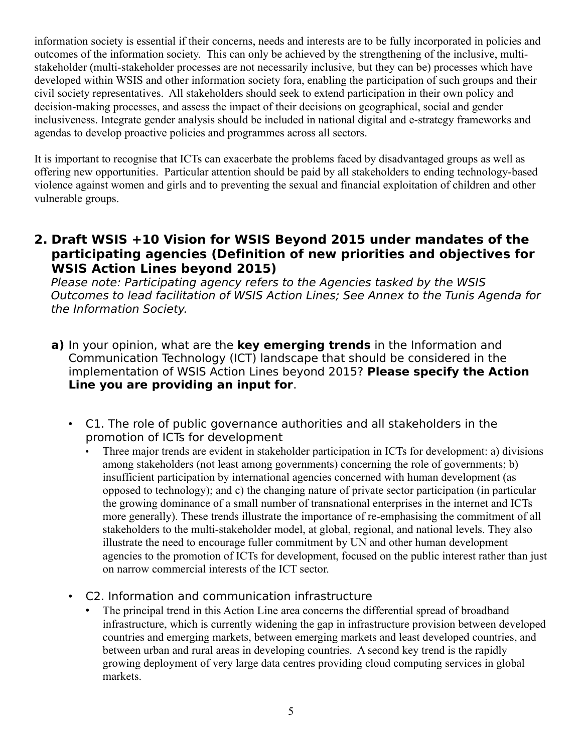information society is essential if their concerns, needs and interests are to be fully incorporated in policies and outcomes of the information society. This can only be achieved by the strengthening of the inclusive, multistakeholder (multi-stakeholder processes are not necessarily inclusive, but they can be) processes which have developed within WSIS and other information society fora, enabling the participation of such groups and their civil society representatives. All stakeholders should seek to extend participation in their own policy and decision-making processes, and assess the impact of their decisions on geographical, social and gender inclusiveness. Integrate gender analysis should be included in national digital and e-strategy frameworks and agendas to develop proactive policies and programmes across all sectors.

It is important to recognise that ICTs can exacerbate the problems faced by disadvantaged groups as well as offering new opportunities. Particular attention should be paid by all stakeholders to ending technology-based violence against women and girls and to preventing the sexual and financial exploitation of children and other vulnerable groups.

**2. Draft WSIS +10 Vision for WSIS Beyond 2015 under mandates of the participating agencies (Definition of new priorities and objectives for WSIS Action Lines beyond 2015)**

Please note: Participating agency refers to the Agencies tasked by the WSIS Outcomes to lead facilitation of WSIS Action Lines; See Annex to the Tunis Agenda for the Information Society.

- **a)** In your opinion, what are the **key emerging trends** in the Information and Communication Technology (ICT) landscape that should be considered in the implementation of WSIS Action Lines beyond 2015? **Please specify the Action Line you are providing an input for**.
	- С1. The role of public governance authorities and all stakeholders in the promotion of ICTs for development
		- Three major trends are evident in stakeholder participation in ICTs for development: a) divisions among stakeholders (not least among governments) concerning the role of governments; b) insufficient participation by international agencies concerned with human development (as opposed to technology); and c) the changing nature of private sector participation (in particular the growing dominance of a small number of transnational enterprises in the internet and ICTs more generally). These trends illustrate the importance of re-emphasising the commitment of all stakeholders to the multi-stakeholder model, at global, regional, and national levels. They also illustrate the need to encourage fuller commitment by UN and other human development agencies to the promotion of ICTs for development, focused on the public interest rather than just on narrow commercial interests of the ICT sector.
	- С2. Information and communication infrastructure
		- The principal trend in this Action Line area concerns the differential spread of broadband infrastructure, which is currently widening the gap in infrastructure provision between developed countries and emerging markets, between emerging markets and least developed countries, and between urban and rural areas in developing countries. A second key trend is the rapidly growing deployment of very large data centres providing cloud computing services in global markets.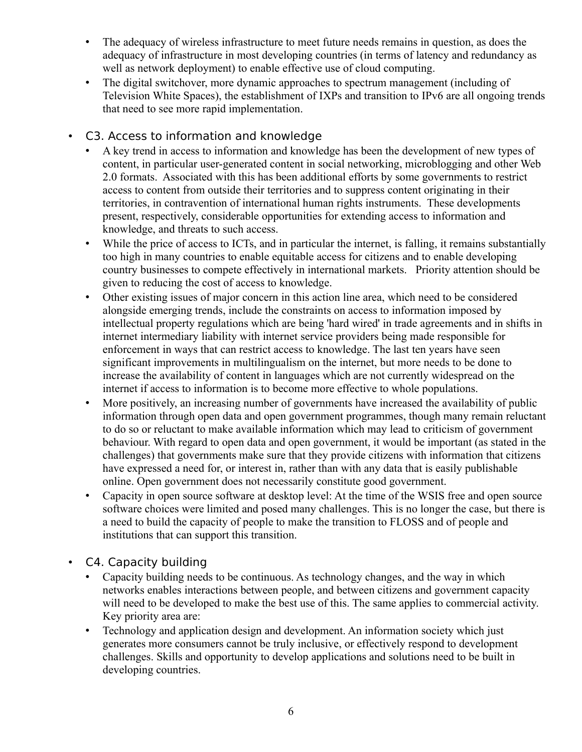- The adequacy of wireless infrastructure to meet future needs remains in question, as does the adequacy of infrastructure in most developing countries (in terms of latency and redundancy as well as network deployment) to enable effective use of cloud computing.
- The digital switchover, more dynamic approaches to spectrum management (including of Television White Spaces), the establishment of IXPs and transition to IPv6 are all ongoing trends that need to see more rapid implementation.
- C3. Access to information and knowledge
	- A key trend in access to information and knowledge has been the development of new types of content, in particular user-generated content in social networking, microblogging and other Web 2.0 formats. Associated with this has been additional efforts by some governments to restrict access to content from outside their territories and to suppress content originating in their territories, in contravention of international human rights instruments. These developments present, respectively, considerable opportunities for extending access to information and knowledge, and threats to such access.
	- While the price of access to ICTs, and in particular the internet, is falling, it remains substantially too high in many countries to enable equitable access for citizens and to enable developing country businesses to compete effectively in international markets. Priority attention should be given to reducing the cost of access to knowledge.
	- Other existing issues of major concern in this action line area, which need to be considered alongside emerging trends, include the constraints on access to information imposed by intellectual property regulations which are being 'hard wired' in trade agreements and in shifts in internet intermediary liability with internet service providers being made responsible for enforcement in ways that can restrict access to knowledge. The last ten years have seen significant improvements in multilingualism on the internet, but more needs to be done to increase the availability of content in languages which are not currently widespread on the internet if access to information is to become more effective to whole populations.
	- More positively, an increasing number of governments have increased the availability of public information through open data and open government programmes, though many remain reluctant to do so or reluctant to make available information which may lead to criticism of government behaviour. With regard to open data and open government, it would be important (as stated in the challenges) that governments make sure that they provide citizens with information that citizens have expressed a need for, or interest in, rather than with any data that is easily publishable online. Open government does not necessarily constitute good government.
	- Capacity in open source software at desktop level: At the time of the WSIS free and open source software choices were limited and posed many challenges. This is no longer the case, but there is a need to build the capacity of people to make the transition to FLOSS and of people and institutions that can support this transition.
- C4. Capacity building
	- Capacity building needs to be continuous. As technology changes, and the way in which networks enables interactions between people, and between citizens and government capacity will need to be developed to make the best use of this. The same applies to commercial activity. Key priority area are:
	- Technology and application design and development. An information society which just generates more consumers cannot be truly inclusive, or effectively respond to development challenges. Skills and opportunity to develop applications and solutions need to be built in developing countries.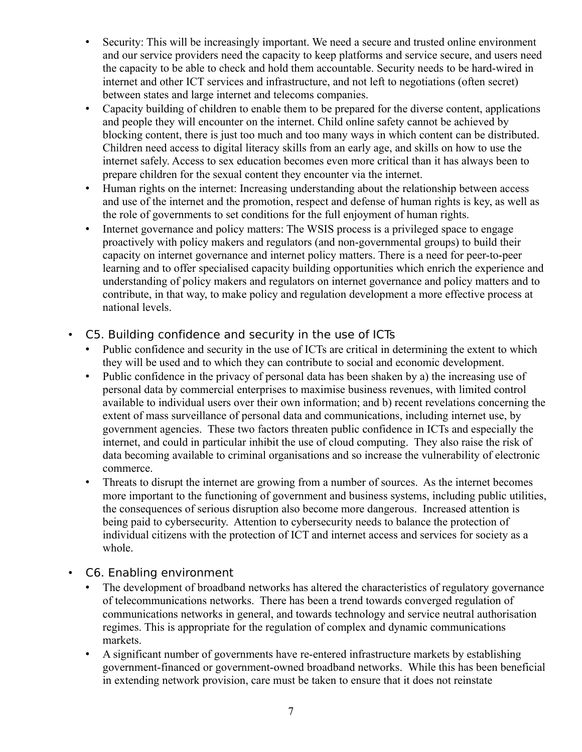- Security: This will be increasingly important. We need a secure and trusted online environment and our service providers need the capacity to keep platforms and service secure, and users need the capacity to be able to check and hold them accountable. Security needs to be hard-wired in internet and other ICT services and infrastructure, and not left to negotiations (often secret) between states and large internet and telecoms companies.
- Capacity building of children to enable them to be prepared for the diverse content, applications and people they will encounter on the internet. Child online safety cannot be achieved by blocking content, there is just too much and too many ways in which content can be distributed. Children need access to digital literacy skills from an early age, and skills on how to use the internet safely. Access to sex education becomes even more critical than it has always been to prepare children for the sexual content they encounter via the internet.
- Human rights on the internet: Increasing understanding about the relationship between access and use of the internet and the promotion, respect and defense of human rights is key, as well as the role of governments to set conditions for the full enjoyment of human rights.
- Internet governance and policy matters: The WSIS process is a privileged space to engage proactively with policy makers and regulators (and non-governmental groups) to build their capacity on internet governance and internet policy matters. There is a need for peer-to-peer learning and to offer specialised capacity building opportunities which enrich the experience and understanding of policy makers and regulators on internet governance and policy matters and to contribute, in that way, to make policy and regulation development a more effective process at national levels.
- C5. Building confidence and security in the use of ICTs
	- Public confidence and security in the use of ICTs are critical in determining the extent to which they will be used and to which they can contribute to social and economic development.
	- Public confidence in the privacy of personal data has been shaken by a) the increasing use of personal data by commercial enterprises to maximise business revenues, with limited control available to individual users over their own information; and b) recent revelations concerning the extent of mass surveillance of personal data and communications, including internet use, by government agencies. These two factors threaten public confidence in ICTs and especially the internet, and could in particular inhibit the use of cloud computing. They also raise the risk of data becoming available to criminal organisations and so increase the vulnerability of electronic commerce.
	- Threats to disrupt the internet are growing from a number of sources. As the internet becomes more important to the functioning of government and business systems, including public utilities, the consequences of serious disruption also become more dangerous. Increased attention is being paid to cybersecurity. Attention to cybersecurity needs to balance the protection of individual citizens with the protection of ICT and internet access and services for society as a whole.
- C6. Enabling environment
	- The development of broadband networks has altered the characteristics of regulatory governance of telecommunications networks. There has been a trend towards converged regulation of communications networks in general, and towards technology and service neutral authorisation regimes. This is appropriate for the regulation of complex and dynamic communications markets.
	- A significant number of governments have re-entered infrastructure markets by establishing government-financed or government-owned broadband networks. While this has been beneficial in extending network provision, care must be taken to ensure that it does not reinstate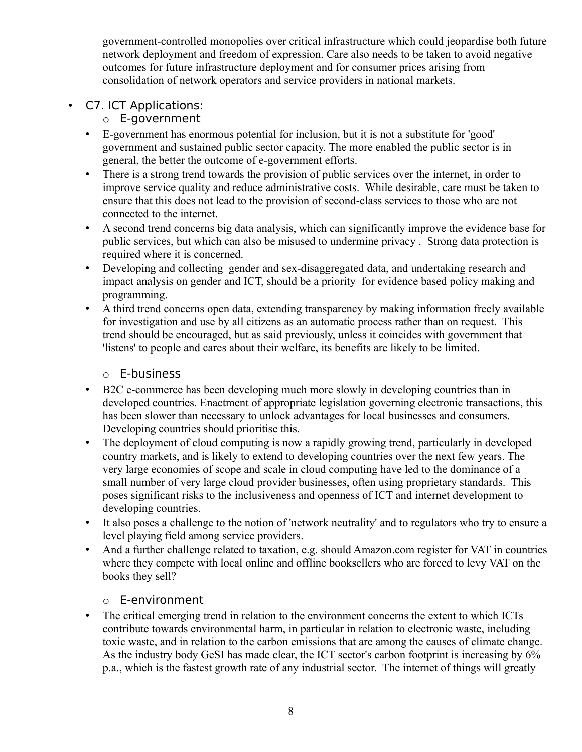government-controlled monopolies over critical infrastructure which could jeopardise both future network deployment and freedom of expression. Care also needs to be taken to avoid negative outcomes for future infrastructure deployment and for consumer prices arising from consolidation of network operators and service providers in national markets.

• C7. ICT Applications:

## o E-government

- E-government has enormous potential for inclusion, but it is not a substitute for 'good' government and sustained public sector capacity. The more enabled the public sector is in general, the better the outcome of e-government efforts.
- There is a strong trend towards the provision of public services over the internet, in order to improve service quality and reduce administrative costs. While desirable, care must be taken to ensure that this does not lead to the provision of second-class services to those who are not connected to the internet.
- A second trend concerns big data analysis, which can significantly improve the evidence base for public services, but which can also be misused to undermine privacy . Strong data protection is required where it is concerned.
- Developing and collecting gender and sex-disaggregated data, and undertaking research and impact analysis on gender and ICT, should be a priority for evidence based policy making and programming.
- A third trend concerns open data, extending transparency by making information freely available for investigation and use by all citizens as an automatic process rather than on request. This trend should be encouraged, but as said previously, unless it coincides with government that 'listens' to people and cares about their welfare, its benefits are likely to be limited.

## o E-business

- B2C e-commerce has been developing much more slowly in developing countries than in developed countries. Enactment of appropriate legislation governing electronic transactions, this has been slower than necessary to unlock advantages for local businesses and consumers. Developing countries should prioritise this.
- The deployment of cloud computing is now a rapidly growing trend, particularly in developed country markets, and is likely to extend to developing countries over the next few years. The very large economies of scope and scale in cloud computing have led to the dominance of a small number of very large cloud provider businesses, often using proprietary standards. This poses significant risks to the inclusiveness and openness of ICT and internet development to developing countries.
- It also poses a challenge to the notion of 'network neutrality' and to regulators who try to ensure a level playing field among service providers.
- And a further challenge related to taxation, e.g. should Amazon.com register for VAT in countries where they compete with local online and offline booksellers who are forced to levy VAT on the books they sell?

## o E-environment

• The critical emerging trend in relation to the environment concerns the extent to which ICTs contribute towards environmental harm, in particular in relation to electronic waste, including toxic waste, and in relation to the carbon emissions that are among the causes of climate change. As the industry body GeSI has made clear, the ICT sector's carbon footprint is increasing by 6% p.a., which is the fastest growth rate of any industrial sector. The internet of things will greatly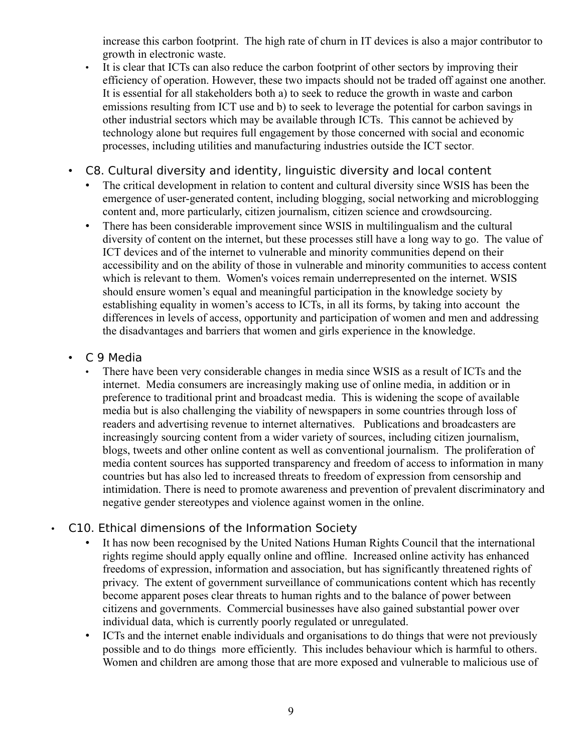increase this carbon footprint. The high rate of churn in IT devices is also a major contributor to growth in electronic waste.

- It is clear that ICTs can also reduce the carbon footprint of other sectors by improving their efficiency of operation. However, these two impacts should not be traded off against one another. It is essential for all stakeholders both a) to seek to reduce the growth in waste and carbon emissions resulting from ICT use and b) to seek to leverage the potential for carbon savings in other industrial sectors which may be available through ICTs. This cannot be achieved by technology alone but requires full engagement by those concerned with social and economic processes, including utilities and manufacturing industries outside the ICT sector.
- C8. Cultural diversity and identity, linguistic diversity and local content
	- The critical development in relation to content and cultural diversity since WSIS has been the emergence of user-generated content, including blogging, social networking and microblogging content and, more particularly, citizen journalism, citizen science and crowdsourcing.
	- There has been considerable improvement since WSIS in multilingualism and the cultural diversity of content on the internet, but these processes still have a long way to go. The value of ICT devices and of the internet to vulnerable and minority communities depend on their accessibility and on the ability of those in vulnerable and minority communities to access content which is relevant to them. Women's voices remain underrepresented on the internet. WSIS should ensure women's equal and meaningful participation in the knowledge society by establishing equality in women's access to ICTs, in all its forms, by taking into account the differences in levels of access, opportunity and participation of women and men and addressing the disadvantages and barriers that women and girls experience in the knowledge.
- C 9 Media
	- There have been very considerable changes in media since WSIS as a result of ICTs and the internet. Media consumers are increasingly making use of online media, in addition or in preference to traditional print and broadcast media. This is widening the scope of available media but is also challenging the viability of newspapers in some countries through loss of readers and advertising revenue to internet alternatives. Publications and broadcasters are increasingly sourcing content from a wider variety of sources, including citizen journalism, blogs, tweets and other online content as well as conventional journalism. The proliferation of media content sources has supported transparency and freedom of access to information in many countries but has also led to increased threats to freedom of expression from censorship and intimidation. There is need to promote awareness and prevention of prevalent discriminatory and negative gender stereotypes and violence against women in the online.

## • C10. Ethical dimensions of the Information Society

- It has now been recognised by the United Nations Human Rights Council that the international rights regime should apply equally online and offline. Increased online activity has enhanced freedoms of expression, information and association, but has significantly threatened rights of privacy. The extent of government surveillance of communications content which has recently become apparent poses clear threats to human rights and to the balance of power between citizens and governments. Commercial businesses have also gained substantial power over individual data, which is currently poorly regulated or unregulated.
- ICTs and the internet enable individuals and organisations to do things that were not previously possible and to do things more efficiently. This includes behaviour which is harmful to others. Women and children are among those that are more exposed and vulnerable to malicious use of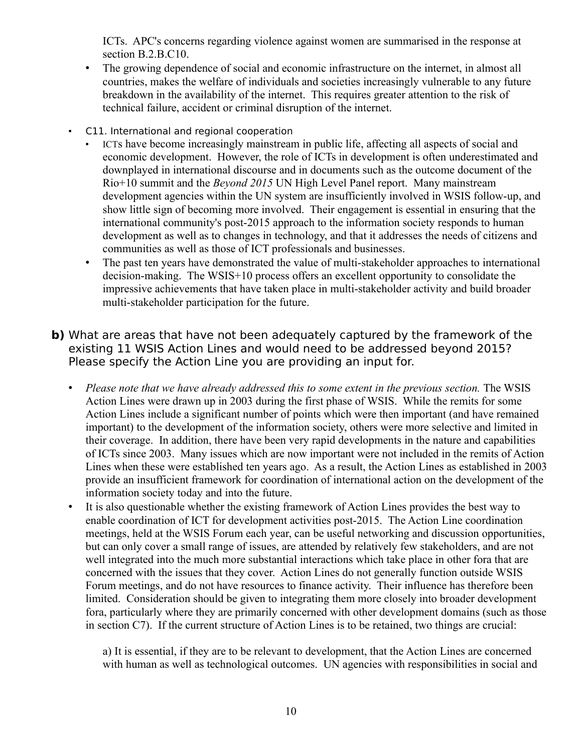ICTs. APC's concerns regarding violence against women are summarised in the response at section B.2.B.C10.

- The growing dependence of social and economic infrastructure on the internet, in almost all countries, makes the welfare of individuals and societies increasingly vulnerable to any future breakdown in the availability of the internet. This requires greater attention to the risk of technical failure, accident or criminal disruption of the internet.
- C11. International and regional cooperation
	- ICTs have become increasingly mainstream in public life, affecting all aspects of social and economic development. However, the role of ICTs in development is often underestimated and downplayed in international discourse and in documents such as the outcome document of the Rio+10 summit and the *Beyond 2015* UN High Level Panel report. Many mainstream development agencies within the UN system are insufficiently involved in WSIS follow-up, and show little sign of becoming more involved. Their engagement is essential in ensuring that the international community's post-2015 approach to the information society responds to human development as well as to changes in technology, and that it addresses the needs of citizens and communities as well as those of ICT professionals and businesses.
	- The past ten years have demonstrated the value of multi-stakeholder approaches to international decision-making. The WSIS+10 process offers an excellent opportunity to consolidate the impressive achievements that have taken place in multi-stakeholder activity and build broader multi-stakeholder participation for the future.
- **b)** What are areas that have not been adequately captured by the framework of the existing 11 WSIS Action Lines and would need to be addressed beyond 2015? Please specify the Action Line you are providing an input for.
	- *Please note that we have already addressed this to some extent in the previous section.* The WSIS Action Lines were drawn up in 2003 during the first phase of WSIS. While the remits for some Action Lines include a significant number of points which were then important (and have remained important) to the development of the information society, others were more selective and limited in their coverage. In addition, there have been very rapid developments in the nature and capabilities of ICTs since 2003. Many issues which are now important were not included in the remits of Action Lines when these were established ten years ago. As a result, the Action Lines as established in 2003 provide an insufficient framework for coordination of international action on the development of the information society today and into the future.
	- It is also questionable whether the existing framework of Action Lines provides the best way to enable coordination of ICT for development activities post-2015. The Action Line coordination meetings, held at the WSIS Forum each year, can be useful networking and discussion opportunities, but can only cover a small range of issues, are attended by relatively few stakeholders, and are not well integrated into the much more substantial interactions which take place in other fora that are concerned with the issues that they cover. Action Lines do not generally function outside WSIS Forum meetings, and do not have resources to finance activity. Their influence has therefore been limited. Consideration should be given to integrating them more closely into broader development fora, particularly where they are primarily concerned with other development domains (such as those in section C7). If the current structure of Action Lines is to be retained, two things are crucial:

a) It is essential, if they are to be relevant to development, that the Action Lines are concerned with human as well as technological outcomes. UN agencies with responsibilities in social and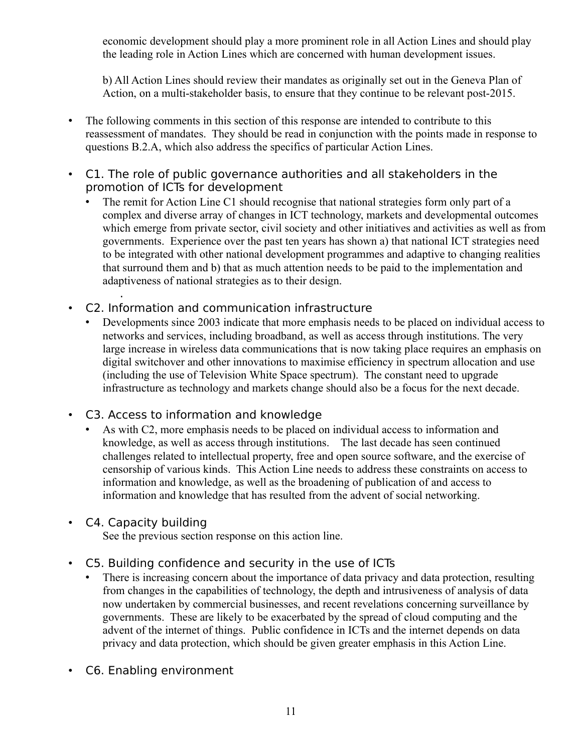economic development should play a more prominent role in all Action Lines and should play the leading role in Action Lines which are concerned with human development issues.

b) All Action Lines should review their mandates as originally set out in the Geneva Plan of Action, on a multi-stakeholder basis, to ensure that they continue to be relevant post-2015.

- The following comments in this section of this response are intended to contribute to this reassessment of mandates. They should be read in conjunction with the points made in response to questions B.2.A, which also address the specifics of particular Action Lines.
- С1. The role of public governance authorities and all stakeholders in the promotion of ICTs for development
	- The remit for Action Line C1 should recognise that national strategies form only part of a complex and diverse array of changes in ICT technology, markets and developmental outcomes which emerge from private sector, civil society and other initiatives and activities as well as from governments. Experience over the past ten years has shown a) that national ICT strategies need to be integrated with other national development programmes and adaptive to changing realities that surround them and b) that as much attention needs to be paid to the implementation and adaptiveness of national strategies as to their design.
- С2. Information and communication infrastructure
	- Developments since 2003 indicate that more emphasis needs to be placed on individual access to networks and services, including broadband, as well as access through institutions. The very large increase in wireless data communications that is now taking place requires an emphasis on digital switchover and other innovations to maximise efficiency in spectrum allocation and use (including the use of Television White Space spectrum). The constant need to upgrade infrastructure as technology and markets change should also be a focus for the next decade.
- C3. Access to information and knowledge
	- As with C2, more emphasis needs to be placed on individual access to information and knowledge, as well as access through institutions. The last decade has seen continued challenges related to intellectual property, free and open source software, and the exercise of censorship of various kinds. This Action Line needs to address these constraints on access to information and knowledge, as well as the broadening of publication of and access to information and knowledge that has resulted from the advent of social networking.
- C4. Capacity building

.

See the previous section response on this action line.

- C5. Building confidence and security in the use of ICTs
	- There is increasing concern about the importance of data privacy and data protection, resulting from changes in the capabilities of technology, the depth and intrusiveness of analysis of data now undertaken by commercial businesses, and recent revelations concerning surveillance by governments. These are likely to be exacerbated by the spread of cloud computing and the advent of the internet of things. Public confidence in ICTs and the internet depends on data privacy and data protection, which should be given greater emphasis in this Action Line.
- C6. Enabling environment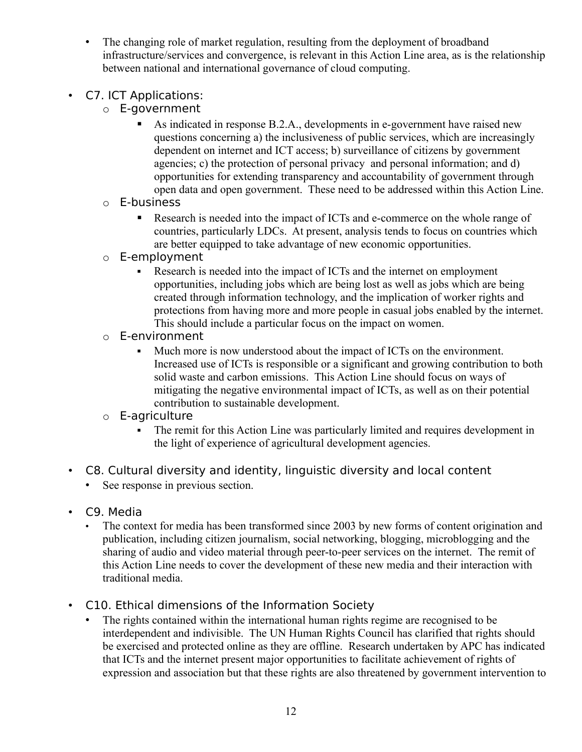- The changing role of market regulation, resulting from the deployment of broadband infrastructure/services and convergence, is relevant in this Action Line area, as is the relationship between national and international governance of cloud computing.
- C7. ICT Applications:
	- o E-government
		- As indicated in response B.2.A., developments in e-government have raised new questions concerning a) the inclusiveness of public services, which are increasingly dependent on internet and ICT access; b) surveillance of citizens by government agencies; c) the protection of personal privacy and personal information; and d) opportunities for extending transparency and accountability of government through open data and open government. These need to be addressed within this Action Line.
	- o E-business
		- Research is needed into the impact of ICTs and e-commerce on the whole range of countries, particularly LDCs. At present, analysis tends to focus on countries which are better equipped to take advantage of new economic opportunities.
	- o E-employment
		- Research is needed into the impact of ICTs and the internet on employment opportunities, including jobs which are being lost as well as jobs which are being created through information technology, and the implication of worker rights and protections from having more and more people in casual jobs enabled by the internet. This should include a particular focus on the impact on women.
	- o E-environment
		- Much more is now understood about the impact of ICTs on the environment. Increased use of ICTs is responsible or a significant and growing contribution to both solid waste and carbon emissions. This Action Line should focus on ways of mitigating the negative environmental impact of ICTs, as well as on their potential contribution to sustainable development.

## o E-agriculture

- The remit for this Action Line was particularly limited and requires development in the light of experience of agricultural development agencies.
- C8. Cultural diversity and identity, linguistic diversity and local content
	- See response in previous section.
- C9. Media
	- The context for media has been transformed since 2003 by new forms of content origination and publication, including citizen journalism, social networking, blogging, microblogging and the sharing of audio and video material through peer-to-peer services on the internet. The remit of this Action Line needs to cover the development of these new media and their interaction with traditional media.
- C10. Ethical dimensions of the Information Society
	- The rights contained within the international human rights regime are recognised to be interdependent and indivisible. The UN Human Rights Council has clarified that rights should be exercised and protected online as they are offline. Research undertaken by APC has indicated that ICTs and the internet present major opportunities to facilitate achievement of rights of expression and association but that these rights are also threatened by government intervention to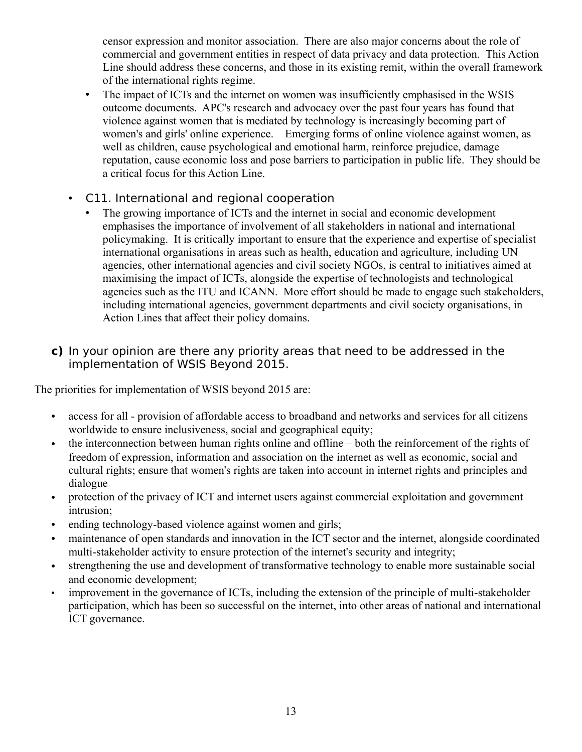censor expression and monitor association. There are also major concerns about the role of commercial and government entities in respect of data privacy and data protection. This Action Line should address these concerns, and those in its existing remit, within the overall framework of the international rights regime.

- The impact of ICTs and the internet on women was insufficiently emphasised in the WSIS outcome documents. APC's research and advocacy over the past four years has found that violence against women that is mediated by technology is increasingly becoming part of women's and girls' online experience. Emerging forms of online violence against women, as well as children, cause psychological and emotional harm, reinforce prejudice, damage reputation, cause economic loss and pose barriers to participation in public life. They should be a critical focus for this Action Line.
- C11. International and regional cooperation
	- The growing importance of ICTs and the internet in social and economic development emphasises the importance of involvement of all stakeholders in national and international policymaking. It is critically important to ensure that the experience and expertise of specialist international organisations in areas such as health, education and agriculture, including UN agencies, other international agencies and civil society NGOs, is central to initiatives aimed at maximising the impact of ICTs, alongside the expertise of technologists and technological agencies such as the ITU and ICANN. More effort should be made to engage such stakeholders, including international agencies, government departments and civil society organisations, in Action Lines that affect their policy domains.

## **c)** In your opinion are there any priority areas that need to be addressed in the implementation of WSIS Beyond 2015.

The priorities for implementation of WSIS beyond 2015 are:

- access for all provision of affordable access to broadband and networks and services for all citizens worldwide to ensure inclusiveness, social and geographical equity;
- the interconnection between human rights online and offline both the reinforcement of the rights of freedom of expression, information and association on the internet as well as economic, social and cultural rights; ensure that women's rights are taken into account in internet rights and principles and dialogue
- protection of the privacy of ICT and internet users against commercial exploitation and government intrusion;
- ending technology-based violence against women and girls;
- maintenance of open standards and innovation in the ICT sector and the internet, alongside coordinated multi-stakeholder activity to ensure protection of the internet's security and integrity;
- strengthening the use and development of transformative technology to enable more sustainable social and economic development;
- improvement in the governance of ICTs, including the extension of the principle of multi-stakeholder participation, which has been so successful on the internet, into other areas of national and international ICT governance.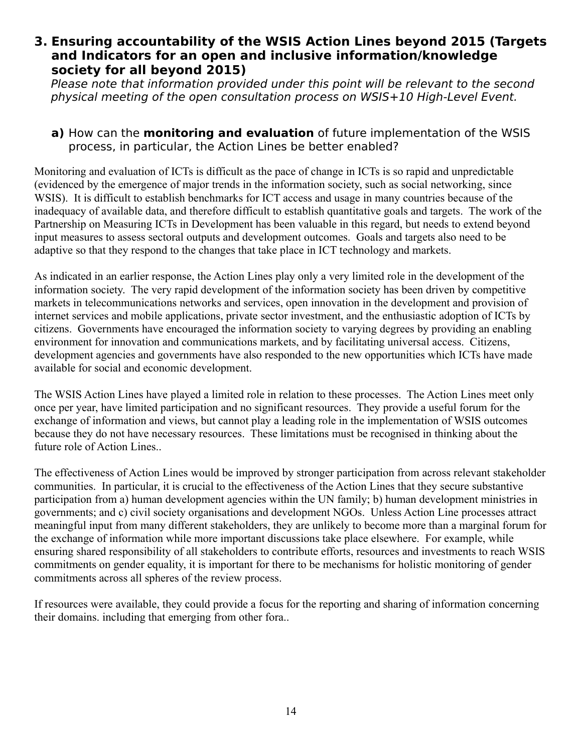## **3. Ensuring accountability of the WSIS Action Lines beyond 2015 (Targets and Indicators for an open and inclusive information/knowledge society for all beyond 2015)**

Please note that information provided under this point will be relevant to the second physical meeting of the open consultation process on WSIS+10 High-Level Event.

### **a)** How can the **monitoring and evaluation** of future implementation of the WSIS process, in particular, the Action Lines be better enabled?

Monitoring and evaluation of ICTs is difficult as the pace of change in ICTs is so rapid and unpredictable (evidenced by the emergence of major trends in the information society, such as social networking, since WSIS). It is difficult to establish benchmarks for ICT access and usage in many countries because of the inadequacy of available data, and therefore difficult to establish quantitative goals and targets. The work of the Partnership on Measuring ICTs in Development has been valuable in this regard, but needs to extend beyond input measures to assess sectoral outputs and development outcomes. Goals and targets also need to be adaptive so that they respond to the changes that take place in ICT technology and markets.

As indicated in an earlier response, the Action Lines play only a very limited role in the development of the information society. The very rapid development of the information society has been driven by competitive markets in telecommunications networks and services, open innovation in the development and provision of internet services and mobile applications, private sector investment, and the enthusiastic adoption of ICTs by citizens. Governments have encouraged the information society to varying degrees by providing an enabling environment for innovation and communications markets, and by facilitating universal access. Citizens, development agencies and governments have also responded to the new opportunities which ICTs have made available for social and economic development.

The WSIS Action Lines have played a limited role in relation to these processes. The Action Lines meet only once per year, have limited participation and no significant resources. They provide a useful forum for the exchange of information and views, but cannot play a leading role in the implementation of WSIS outcomes because they do not have necessary resources. These limitations must be recognised in thinking about the future role of Action Lines..

The effectiveness of Action Lines would be improved by stronger participation from across relevant stakeholder communities. In particular, it is crucial to the effectiveness of the Action Lines that they secure substantive participation from a) human development agencies within the UN family; b) human development ministries in governments; and c) civil society organisations and development NGOs. Unless Action Line processes attract meaningful input from many different stakeholders, they are unlikely to become more than a marginal forum for the exchange of information while more important discussions take place elsewhere. For example, while ensuring shared responsibility of all stakeholders to contribute efforts, resources and investments to reach WSIS commitments on gender equality, it is important for there to be mechanisms for holistic monitoring of gender commitments across all spheres of the review process.

If resources were available, they could provide a focus for the reporting and sharing of information concerning their domains. including that emerging from other fora..